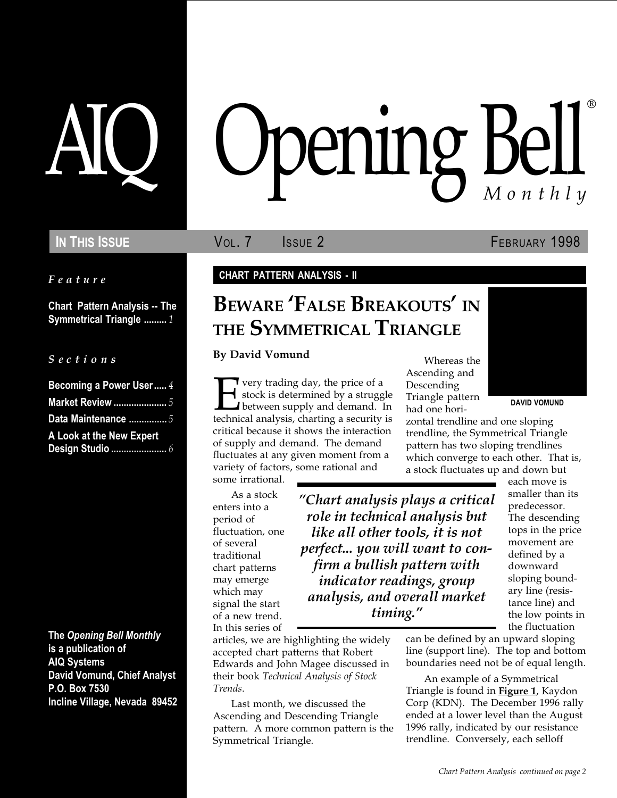Feature

Chart Pattern Analysis -- The Symmetrical Triangle ......... 1

|  |  |  | Sections |  |
|--|--|--|----------|--|
|  |  |  |          |  |
|  |  |  |          |  |
|  |  |  |          |  |

| Becoming a Power User 4  |  |
|--------------------------|--|
| <b>Market Review </b> 5  |  |
| Data Maintenance  5      |  |
| A Look at the New Expert |  |
|                          |  |

The Opening Bell Monthly is a publication of AIQ Systems David Vomund, Chief Analyst P.O. Box 7530 Incline Village, Nevada 89452

# pening Bell ®

In This Issue **Vol. 7** Issue 2 **FEBRUARY 1998** 

#### CHART PATTERN ANALYSIS - II

## BEWARE **FALSE BREAKOUTS** IN THE SYMMETRICAL TRIANGLE

By David Vomund

The very trading day, the price of a<br>stock is determined by a strugged between supply and demand.<br>technical analysis, charting a security stock is determined by a struggle between supply and demand. In technical analysis, charting a security is critical because it shows the interaction of supply and demand. The demand fluctuates at any given moment from a variety of factors, some rational and some irrational.

As a stock enters into a period of fluctuation, one of several traditional chart patterns may emerge which may signal the start of a new trend. In this series of

Chart analysis plays a critical role in technical analysis but like all other tools, it is not perfect... you will want to confirm a bullish pattern with indicator readings, group analysis, and overall market timing.

articles, we are highlighting the widely accepted chart patterns that Robert Edwards and John Magee discussed in their book Technical Analysis of Stock Trends.

Last month, we discussed the Ascending and Descending Triangle pattern. A more common pattern is the Symmetrical Triangle.

Whereas the Ascending and Descending Triangle pattern had one hori-



DAVID VOMUND

zontal trendline and one sloping trendline, the Symmetrical Triangle pattern has two sloping trendlines which converge to each other. That is, a stock fluctuates up and down but

each move is smaller than its predecessor. The descending tops in the price movement are defined by a downward sloping boundary line (resistance line) and the low points in the fluctuation

can be defined by an upward sloping line (support line). The top and bottom boundaries need not be of equal length.

An example of a Symmetrical Triangle is found in **Figure 1**, Kaydon Corp (KDN). The December 1996 rally ended at a lower level than the August 1996 rally, indicated by our resistance trendline. Conversely, each selloff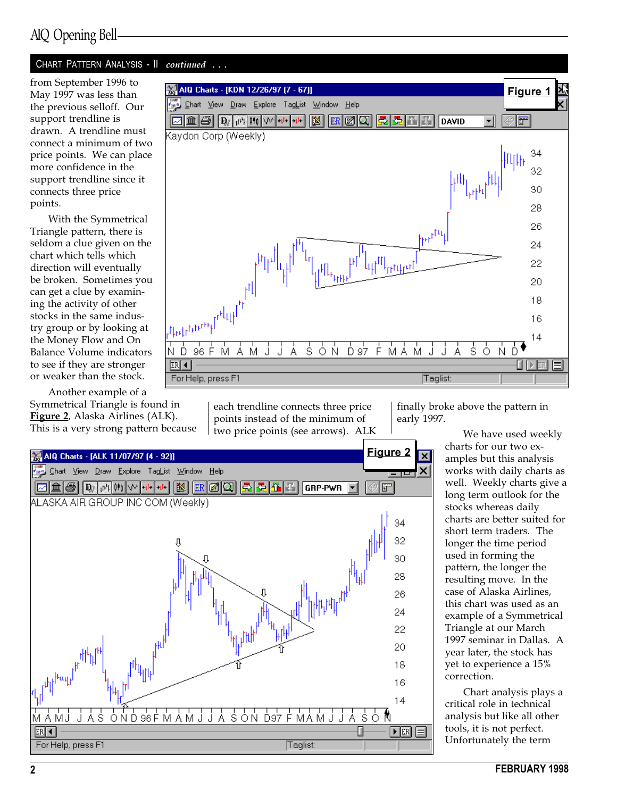## AIQ Opening Bell

#### CHART PATTERN ANALYSIS - II continued ...

May 1997 was less than the previous selloff. Our support trendline is drawn. A trendline must connect a minimum of two price points. We can place more confidence in the support trendline since it connects three price points.

With the Symmetrical Triangle pattern, there is seldom a clue given on the chart which tells which direction will eventually be broken. Sometimes you can get a clue by examining the activity of other stocks in the same industry group or by looking at the Money Flow and On Balance Volume indicators to see if they are stronger or weaker than the stock.

Another example of a Symmetrical Triangle is found in Figure 2, Alaska Airlines (ALK). This is a very strong pattern because

AIQ Charts - [ALK 11/07/97 (4 - 92)]

 $\mathbf{|D}_{\mathcal{J}|}|\mathbf{u}^{\mu}|\mathbf{0}^{\dagger}|\mathbf{0}|\mathbf{0}^{\dagger}$ 

ALASKA AIR GROUP INC COM (Weekly)

Explore TagList Window Help

l+it-

图

 $|{\rm ER}|$ 10

H

 $View$  Draw</u>

**Chart** 

|童

4



Figure 2

 $|\vec{r}|$ 

 $\overline{\mathsf{x}}$ 

each trendline connects three price points instead of the minimum of two price points (see arrows). ALK

GRP-PWR

finally broke above the pattern in early 1997.

> We have used weekly charts for our two examples but this analysis works with daily charts as well. Weekly charts give a long term outlook for the stocks whereas daily charts are better suited for short term traders. The longer the time period used in forming the pattern, the longer the resulting move. In the case of Alaska Airlines, this chart was used as an example of a Symmetrical Triangle at our March 1997 seminar in Dallas. A year later, the stock has yet to experience a 15% correction.

Chart analysis plays a critical role in technical analysis but like all other tools, it is not perfect. Unfortunately the term



M A MJ  $ER$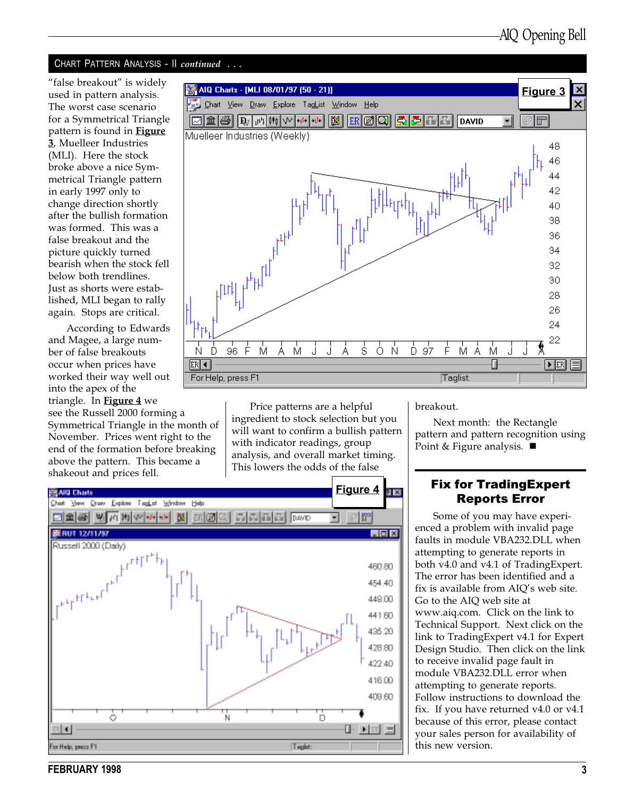#### CHART PATTERN ANALYSIS - Il continued ...

"false breakout" is widely used in pattern analysis. The worst case scenario for a Symmetrical Triangle pattern is found in **Figure** 3, Muelleer Industries (MLI). Here the stock broke above a nice Symmetrical Triangle pattern in early 1997 only to change direction shortly after the bullish formation was formed. This was a false breakout and the picture quickly turned bearish when the stock fell below both trendlines. Just as shorts were established, MLI began to rally again. Stops are critical.

According to Edwards and Magee, a large num-Ń ber of false breakouts occur when prices have worked their way well out into the apex of the triangle. In **Figure 4** we see the Russell 2000 forming a Symmetrical Triangle in the month of November. Prices went right to the end of the formation before breaking above the pattern. This became a shakeout and prices fell.



Price patterns are a helpful ingredient to stock selection but you will want to confirm a bullish pattern with indicator readings, group analysis, and overall market timing. This lowers the odds of the false



breakout.

Next month: the Rectangle pattern and pattern recognition using Point & Figure analysis.  $\blacksquare$ 

#### Fix for TradingExpert Reports Error

Some of you may have experienced a problem with invalid page faults in module VBA232.DLL when attempting to generate reports in both v4.0 and v4.1 of TradingExpert. The error has been identified and a fix is available from AIQ's web site. Go to the AIQ web site at www.aiq.com. Click on the link to Technical Support. Next click on the link to TradingExpert v4.1 for Expert Design Studio. Then click on the link to receive invalid page fault in module VBA232.DLL error when attempting to generate reports. Follow instructions to download the fix. If you have returned v4.0 or v4.1 because of this error, please contact your sales person for availability of this new version.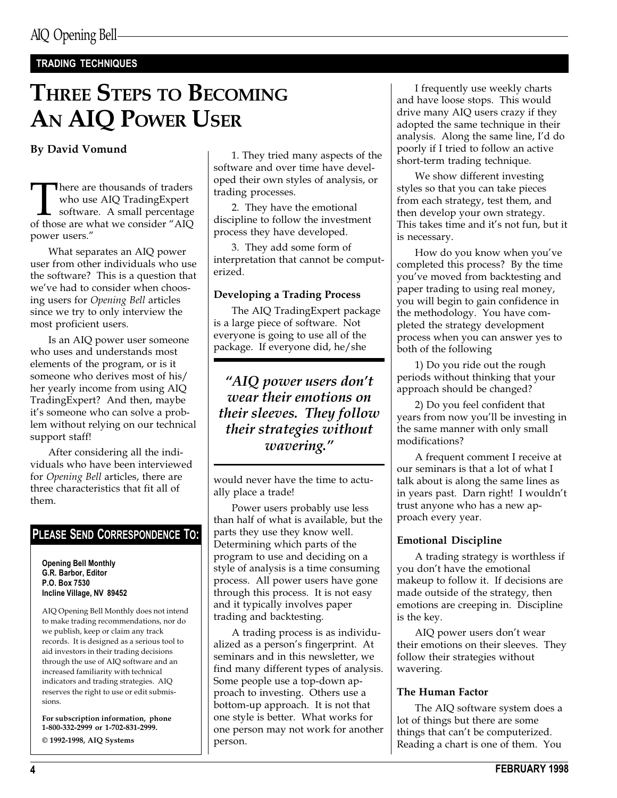### TRADING TECHNIQUES

## THREE STEPS TO BECOMING AN AIQ POWER USER

#### By David Vomund

There are thousands of traders<br>who use AIQ TradingExpert<br>software. A small percentage<br>of those are what we consider "AIQ who use AIQ TradingExpert software. A small percentage of those are what we consider "AIQ power users.

What separates an AIQ power user from other individuals who use the software? This is a question that we've had to consider when choosing users for Opening Bell articles since we try to only interview the most proficient users.

Is an AIQ power user someone who uses and understands most elements of the program, or is it someone who derives most of his/ her yearly income from using AIQ TradingExpert? And then, maybe it's someone who can solve a problem without relying on our technical support staff!

After considering all the individuals who have been interviewed for Opening Bell articles, there are three characteristics that fit all of them.

## PLEASE SEND CORRESPONDENCE TO:

Opening Bell Monthly G.R. Barbor, Editor P.O. Box 7530 Incline Village, NV 89452

AIQ Opening Bell Monthly does not intend to make trading recommendations, nor do we publish, keep or claim any track records. It is designed as a serious tool to aid investors in their trading decisions through the use of AIQ software and an increased familiarity with technical indicators and trading strategies. AIQ reserves the right to use or edit submissions.

For subscription information, phone 1-800-332-2999 or 1-702-831-2999. © 1992-1998, AIQ Systems

1. They tried many aspects of the software and over time have developed their own styles of analysis, or trading processes.

2. They have the emotional discipline to follow the investment process they have developed.

3. They add some form of interpretation that cannot be computerized.

#### Developing a Trading Process

The AIQ TradingExpert package is a large piece of software. Not everyone is going to use all of the package. If everyone did, he/she

" $AIO$  power users don't wear their emotions on their sleeves. They follow their strategies without wavering.

would never have the time to actually place a trade!

Power users probably use less than half of what is available, but the parts they use they know well. Determining which parts of the program to use and deciding on a style of analysis is a time consuming process. All power users have gone through this process. It is not easy and it typically involves paper trading and backtesting.

A trading process is as individualized as a person's fingerprint. At seminars and in this newsletter, we find many different types of analysis. Some people use a top-down approach to investing. Others use a bottom-up approach. It is not that one style is better. What works for one person may not work for another person.

I frequently use weekly charts and have loose stops. This would drive many AIQ users crazy if they adopted the same technique in their analysis. Along the same line, I'd do poorly if I tried to follow an active short-term trading technique.

We show different investing styles so that you can take pieces from each strategy, test them, and then develop your own strategy. This takes time and it's not fun, but it is necessary.

How do you know when you've completed this process? By the time you've moved from backtesting and paper trading to using real money, you will begin to gain confidence in the methodology. You have completed the strategy development process when you can answer yes to both of the following

1) Do you ride out the rough periods without thinking that your approach should be changed?

2) Do you feel confident that years from now you'll be investing in the same manner with only small modifications?

A frequent comment I receive at our seminars is that a lot of what I talk about is along the same lines as in years past. Darn right! I wouldn't trust anyone who has a new approach every year.

#### Emotional Discipline

A trading strategy is worthless if you don't have the emotional makeup to follow it. If decisions are made outside of the strategy, then emotions are creeping in. Discipline is the key.

AIQ power users don't wear their emotions on their sleeves. They follow their strategies without wavering.

#### The Human Factor

The AIQ software system does a lot of things but there are some things that can't be computerized. Reading a chart is one of them. You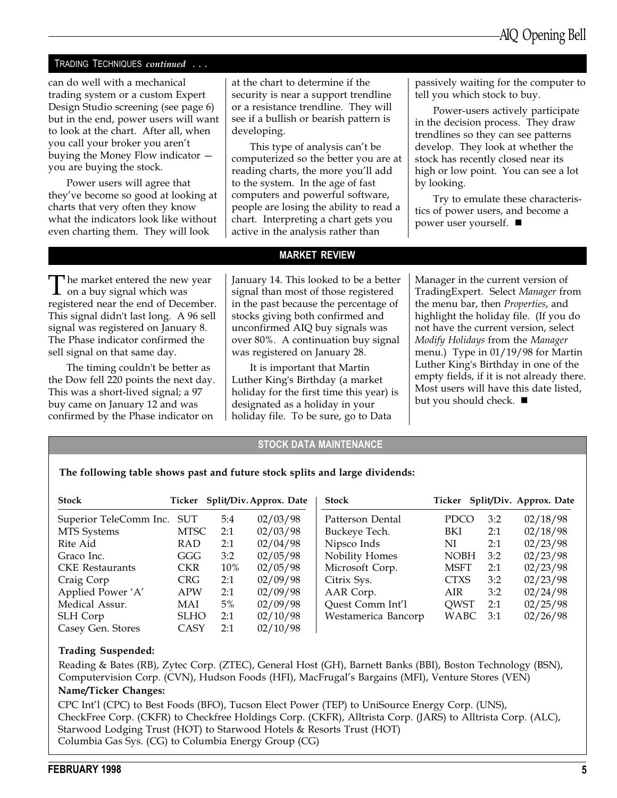#### TRADING TECHNIQUES continued . . .

can do well with a mechanical trading system or a custom Expert Design Studio screening (see page 6) but in the end, power users will want to look at the chart. After all, when you call your broker you aren't buying the Money Flow indicator you are buying the stock.

Power users will agree that they've become so good at looking at charts that very often they know what the indicators look like without even charting them. They will look

at the chart to determine if the security is near a support trendline or a resistance trendline. They will see if a bullish or bearish pattern is developing.

This type of analysis can't be computerized so the better you are at reading charts, the more you'll add to the system. In the age of fast computers and powerful software, people are losing the ability to read a chart. Interpreting a chart gets you active in the analysis rather than

passively waiting for the computer to tell you which stock to buy.

Power-users actively participate in the decision process. They draw trendlines so they can see patterns develop. They look at whether the stock has recently closed near its high or low point. You can see a lot by looking.

Try to emulate these characteristics of power users, and become a power user yourself.  $\blacksquare$ 

The market entered the new year<br>on a buy signal which was<br>maxistaned near the and of December registered near the end of December. This signal didn't last long. A 96 sell signal was registered on January 8. The Phase indicator confirmed the sell signal on that same day.

The timing couldn't be better as the Dow fell 220 points the next day. This was a short-lived signal; a 97 buy came on January 12 and was confirmed by the Phase indicator on

#### MARKET REVIEW

January 14. This looked to be a better signal than most of those registered in the past because the percentage of stocks giving both confirmed and unconfirmed AIQ buy signals was over 80%. A continuation buy signal was registered on January 28.

It is important that Martin Luther King's Birthday (a market holiday for the first time this year) is designated as a holiday in your holiday file. To be sure, go to Data

Manager in the current version of TradingExpert. Select Manager from the menu bar, then Properties, and highlight the holiday file. (If you do not have the current version, select Modify Holidays from the Manager menu.) Type in 01/19/98 for Martin Luther King's Birthday in one of the empty fields, if it is not already there. Most users will have this date listed, but you should check.  $\blacksquare$ 

#### STOCK DATA MAINTENANCE

#### The following table shows past and future stock splits and large dividends:

| <b>Stock</b>           |             |     | Ticker Split/Div. Approx. Date | <b>Stock</b>        |             |     | Ticker Split/Div. Approx. Date |
|------------------------|-------------|-----|--------------------------------|---------------------|-------------|-----|--------------------------------|
| Superior TeleComm Inc. | SUT         | 5:4 | 02/03/98                       | Patterson Dental    | <b>PDCO</b> | 3:2 | 02/18/98                       |
| MTS Systems            | <b>MTSC</b> | 2:1 | 02/03/98                       | Buckeye Tech.       | BKI         | 2:1 | 02/18/98                       |
| Rite Aid               | RAD         | 2:1 | 02/04/98                       | Nipsco Inds         | NI          | 2:1 | 02/23/98                       |
| Graco Inc.             | GGG         | 3:2 | 02/05/98                       | Nobility Homes      | <b>NOBH</b> | 3:2 | 02/23/98                       |
| <b>CKE</b> Restaurants | <b>CKR</b>  | 10% | 02/05/98                       | Microsoft Corp.     | <b>MSFT</b> | 2:1 | 02/23/98                       |
| Craig Corp             | <b>CRG</b>  | 2:1 | 02/09/98                       | Citrix Sys.         | <b>CTXS</b> | 3:2 | 02/23/98                       |
| Applied Power 'A'      | <b>APW</b>  | 2:1 | 02/09/98                       | AAR Corp.           | AIR         | 3:2 | 02/24/98                       |
| Medical Assur.         | MAI         | 5%  | 02/09/98                       | Quest Comm Int'l    | <b>QWST</b> | 2:1 | 02/25/98                       |
| SLH Corp               | <b>SLHO</b> | 2:1 | 02/10/98                       | Westamerica Bancorp | WABC        | 3:1 | 02/26/98                       |
| Casey Gen. Stores      | CASY        | 2:1 | 02/10/98                       |                     |             |     |                                |

#### Trading Suspended:

Reading & Bates (RB), Zytec Corp. (ZTEC), General Host (GH), Barnett Banks (BBI), Boston Technology (BSN), Computervision Corp. (CVN), Hudson Foods (HFI), MacFrugal's Bargains (MFI), Venture Stores (VEN)

#### Name/Ticker Changes:

CPC Int'l (CPC) to Best Foods (BFO), Tucson Elect Power (TEP) to UniSource Energy Corp. (UNS), CheckFree Corp. (CKFR) to Checkfree Holdings Corp. (CKFR), Alltrista Corp. (JARS) to Alltrista Corp. (ALC), Starwood Lodging Trust (HOT) to Starwood Hotels & Resorts Trust (HOT) Columbia Gas Sys. (CG) to Columbia Energy Group (CG)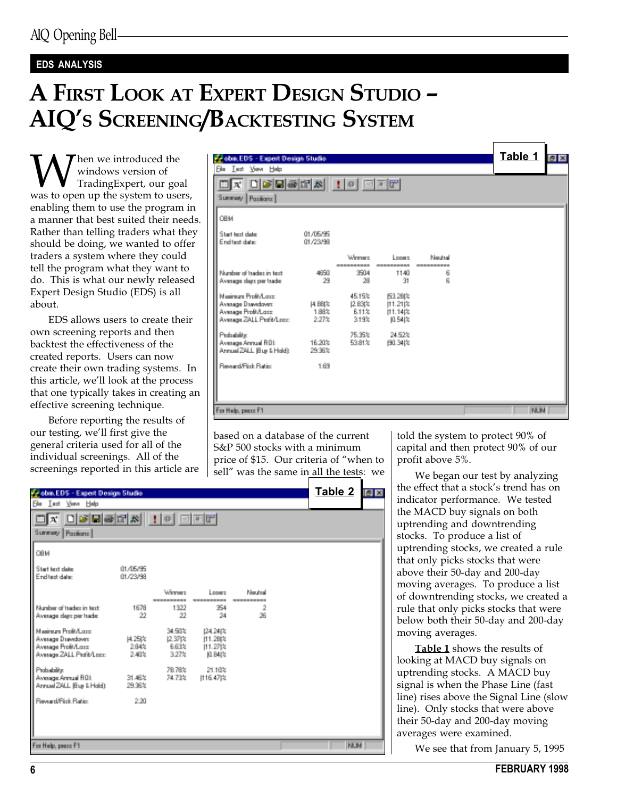### EDS ANALYSIS

# A FIRST LOOK AT EXPERT DESIGN STUDIO AIQ'S SCREENING/BACKTESTING SYSTEM

Wen we introduced the<br>Weyl windows version of<br>was to open up the system to users, windows version of TradingExpert, our goal enabling them to use the program in a manner that best suited their needs. Rather than telling traders what they should be doing, we wanted to offer traders a system where they could tell the program what they want to do. This is what our newly released Expert Design Studio (EDS) is all about.

EDS allows users to create their own screening reports and then backtest the effectiveness of the created reports. Users can now create their own trading systems. In this article, we'll look at the process that one typically takes in creating an effective screening technique.

Before reporting the results of our testing, we'll first give the general criteria used for all of the individual screenings. All of the screenings reported in this article are

| Webm.EDS - Expert Design Studie                     |                               |                          |                  |                  | Table 1 <b>FE</b> |  |
|-----------------------------------------------------|-------------------------------|--------------------------|------------------|------------------|-------------------|--|
| <b>Ele Lest Mey Help</b>                            |                               |                          |                  |                  |                   |  |
| $\Box$ x døhærs i i e eer<br>Summary.<br>Pazikaru I |                               |                          |                  |                  |                   |  |
| OBM                                                 |                               |                          |                  |                  |                   |  |
| Start text date:<br>Find built chairs:              | 01/05/95<br>01/23/98          |                          |                  |                  |                   |  |
|                                                     |                               | <b>Manager</b>           | Longer.          | <b>New treat</b> |                   |  |
| Number of backet in text.                           | 4650                          | 3504                     | 1140             | 6                |                   |  |
| Avenuen dass zer trade:                             | 29                            | 28                       | -91              | $\beta$          |                   |  |
| Maximum Profit/Long.                                |                               | 45.15%                   | E3.28(%)         |                  |                   |  |
| Avenuan Danadover.<br>Avenues Profi/Lease           | <b>14, BBI &amp;</b><br>1,88% | 12.83(%)<br><b>B.11%</b> | 11.21%<br>11.148 |                  |                   |  |
| Avenues ZALL Profit/Long-                           | 2.27%                         | 319%                     | 10.541%          |                  |                   |  |
| Probability                                         |                               | 75.95%                   | 24,52%           |                  |                   |  |
| Avenuen Armsell ROE<br>Annual ZALL Bus NHold):      | 16:30%<br>29.98%              | 53.81%                   | 190, 341%        |                  |                   |  |
| <b>Baseard/Fink Bation</b>                          | 1.69                          |                          |                  |                  |                   |  |
|                                                     |                               |                          |                  |                  |                   |  |
|                                                     |                               |                          |                  |                  |                   |  |
| For Help, peace F1                                  |                               |                          |                  |                  | <b>NUM</b>        |  |

based on a database of the current S&P 500 stocks with a minimum price of \$15. Our criteria of "when to sell" was the same in all the tests: we told the system to protect 90% of capital and then protect 90% of our profit above 5%.

We began our test by analyzing the effect that a stock's trend has on indicator performance. We tested the MACD buy signals on both uptrending and downtrending stocks. To produce a list of uptrending stocks, we created a rule that only picks stocks that were above their 50-day and 200-day moving averages. To produce a list of downtrending stocks, we created a rule that only picks stocks that were below both their 50-day and 200-day moving averages.

Table 1 shows the results of looking at MACD buy signals on uptrending stocks. A MACD buy signal is when the Phase Line (fast line) rises above the Signal Line (slow line). Only stocks that were above their 50-day and 200-day moving averages were examined.

We see that from January 5, 1995

| <b>PV ebm EDS - Export Design Studio</b>                                                          |                                |                                              |                                |           | Table 2 圖圖 |  |
|---------------------------------------------------------------------------------------------------|--------------------------------|----------------------------------------------|--------------------------------|-----------|------------|--|
| Ein Lut Yow Help                                                                                  |                                |                                              |                                |           |            |  |
| K 미여미족에서 ! 이 피피에                                                                                  |                                |                                              |                                |           |            |  |
| Summey Pacificns                                                                                  |                                |                                              |                                |           |            |  |
| OBM                                                                                               |                                |                                              |                                |           |            |  |
| Start text date:<br>End test date:                                                                | 01/05/95<br>01/22/98           |                                              |                                |           |            |  |
|                                                                                                   |                                | <b>Manager</b>                               | i poeta                        | Man trust |            |  |
| Number of tradective text.<br>Avenuan dass per trade:                                             | 1678<br>22                     | 1322<br>22                                   | 354<br>24                      | -2<br>26  |            |  |
| Maximum Profit/Long.<br>Avenuge Desvedover:<br>Avenues Profivilizate<br>Avenuge ZALL Profit/Loan: | - 14.25(%)<br>2.84%<br>- 2.40% | 34,90%<br>12.37(%)<br><b>B.63%</b><br>-3.27% | 124,2412<br>11.28体<br>10.84 to |           |            |  |
| Probability<br>Avenuge Armuel FIBI:<br>Annual ZALL IBus & Hold):                                  | - 別職知<br>29.96%                | 78,78%<br>74,73%                             | 21.10%<br>1116.471%            |           |            |  |
| ResearchFirst Ration                                                                              | 2.20                           |                                              |                                |           |            |  |
| For Help, peace F1                                                                                |                                |                                              |                                |           | <b>NUM</b> |  |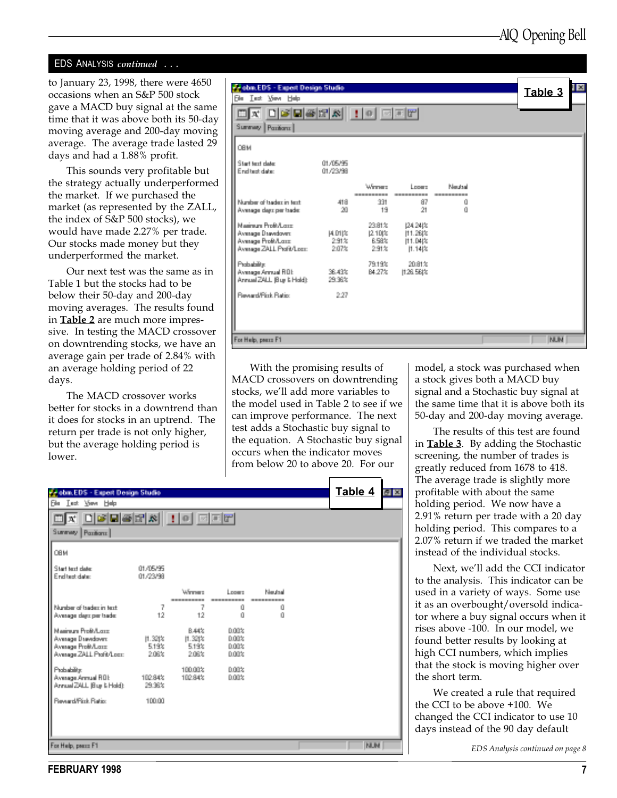#### EDS ANALYSIS continued . . .

to January 23, 1998, there were 4650 occasions when an S&P 500 stock gave a MACD buy signal at the same time that it was above both its 50-day moving average and 200-day moving average. The average trade lasted 29 days and had a 1.88% profit.

This sounds very profitable but the strategy actually underperformed the market. If we purchased the market (as represented by the ZALL, the index of S&P 500 stocks), we would have made 2.27% per trade. Our stocks made money but they underperformed the market.

Our next test was the same as in Table 1 but the stocks had to be below their 50-day and 200-day moving averages. The results found in **Table 2** are much more impressive. In testing the MACD crossover on downtrending stocks, we have an average gain per trade of 2.84% with an average holding period of 22 days.

The MACD crossover works better for stocks in a downtrend than it does for stocks in an uptrend. The return per trade is not only higher, but the average holding period is lower.

| <b>Prebin EDS - Expert Design Studio</b><br>Ein Lut Yow Help<br>OX DØBØR HO ØFF<br>Summay Pacificns |                 |                   |                                            |                               | 1 E<br>Table 3 |
|-----------------------------------------------------------------------------------------------------|-----------------|-------------------|--------------------------------------------|-------------------------------|----------------|
| OBM<br>Start text date:                                                                             | 01/05/95        |                   |                                            |                               |                |
| End test date:                                                                                      | 01/22/98        | <b>Subsequent</b> | Lowers.                                    | <b>District</b>               |                |
| Number of traders in text:<br>Avenuen dass per trade:                                               | 418<br>201      | 331<br>-19        | 87<br>21.                                  | -----------<br>0.<br>$\Omega$ |                |
| Manimum Profit/Long.<br>Avenuge Desvedover:<br>Avenuan Profivilizate<br>Avenuge ZALL Profit/Loan:   | 全部为<br>2.07%    | 23.81%            | 124,241%<br>6.58% 11.04%<br>2.91% 11.14(%) |                               |                |
| Probability:<br>Average Armual ROE<br>Annual ZALL Bus NHoldt                                        | - 第二次<br>29.96% | 79.19%            | 20.81%<br>B4.27% H26.56t%                  |                               |                |
| <b>Passwort/Pink Pasting</b>                                                                        | $-2.27$         |                   |                                            |                               |                |
| For Help, peace F1                                                                                  |                 |                   |                                            |                               | <b>NUM</b>     |

With the promising results of MACD crossovers on downtrending stocks, we'll add more variables to the model used in Table 2 to see if we can improve performance. The next test adds a Stochastic buy signal to the equation. A Stochastic buy signal occurs when the indicator moves from below 20 to above 20. For our

model, a stock was purchased when a stock gives both a MACD buy signal and a Stochastic buy signal at the same time that it is above both its 50-day and 200-day moving average.

The results of this test are found in **Table 3**. By adding the Stochastic screening, the number of trades is greatly reduced from 1678 to 418. The average trade is slightly more profitable with about the same holding period. We now have a 2.91% return per trade with a 20 day holding period. This compares to a 2.07% return if we traded the market instead of the individual stocks.

Next, we'll add the CCI indicator to the analysis. This indicator can be used in a variety of ways. Some use it as an overbought/oversold indicator where a buy signal occurs when it rises above -100. In our model, we found better results by looking at high CCI numbers, which implies that the stock is moving higher over the short term.

We created a rule that required the CCI to be above +100. We changed the CCI indicator to use 10 days instead of the 90 day default

EDS Analysis continued on page 8

| <b>By etm.EDS - Export Design Studio</b>                                                    |                                  |                                          |                                 |                           | Table 4 圖圖 |  |
|---------------------------------------------------------------------------------------------|----------------------------------|------------------------------------------|---------------------------------|---------------------------|------------|--|
| <b>Sie Let Ven Heb</b>                                                                      |                                  |                                          |                                 |                           |            |  |
| $\Box X$ $\Box S$ $\Box S$ $\Box Y$ $\Box Y$ $\Box Y$                                       |                                  |                                          |                                 |                           |            |  |
| Summay Pacificns                                                                            |                                  |                                          |                                 |                           |            |  |
| OBM                                                                                         |                                  |                                          |                                 |                           |            |  |
| Start text class:<br>End test date:                                                         | 01.05/95<br>01/23/99             |                                          |                                 |                           |            |  |
|                                                                                             |                                  | <b>Manager</b>                           | Longer.                         | Man trust<br>------------ |            |  |
| Number of tradectin text.<br>Avenuan dass per trade:                                        | $+2$                             | 7<br>$-12$                               | Ű.<br>ń.                        | Ű.<br>O.                  |            |  |
| Maximum Profit/Long<br>Avenuan Danadovers<br>Avenues Profi/Lease<br>Avenues ZALL Profi/Long | $[1.32]$ $%$<br>5.19%<br>- 2.08% | <b>B.44%</b><br>11.321%<br>519%<br>2.09% | noos<br>0.00%<br>0.00%<br>0.00% |                           |            |  |
| Probability:<br>Avenuge Armual ROE<br>Armuel ZALL (Bug & Hold):                             | 102.84%<br>29.98%                | 100,00%<br>109 84%                       | noos<br>noos                    |                           |            |  |
| <b>Research First Flating</b>                                                               | 10000                            |                                          |                                 |                           |            |  |
| For Help, peace F1                                                                          |                                  |                                          |                                 |                           | <b>NUM</b> |  |